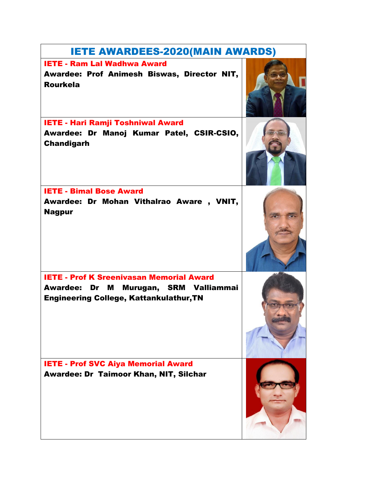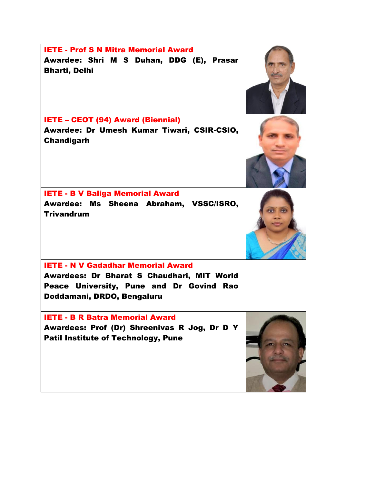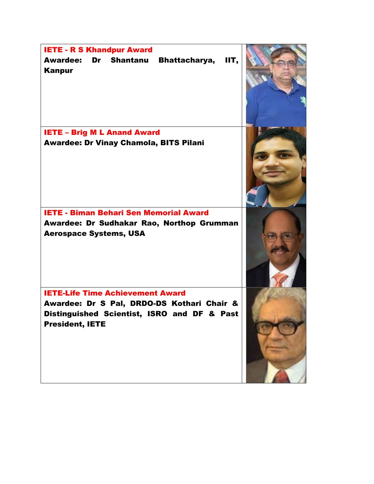